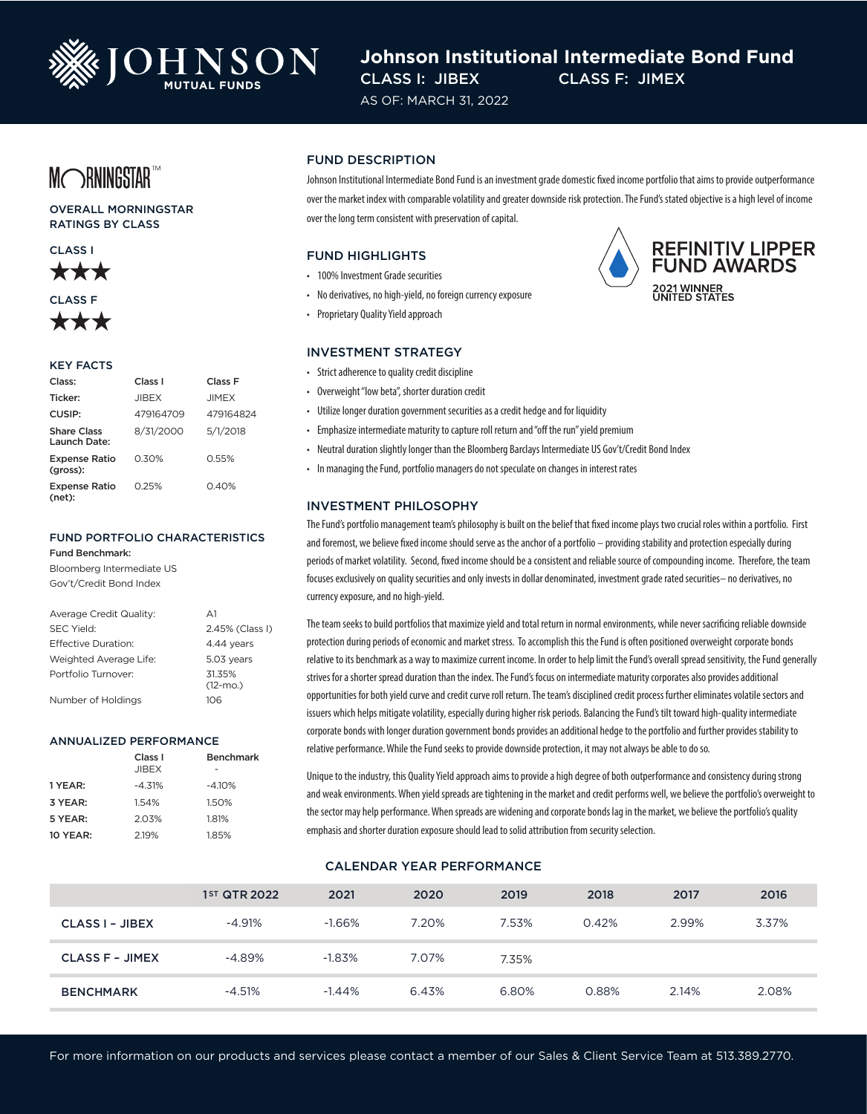

# **Johnson Institutional Intermediate Bond Fund** CLASS I: JIBEX CLASS F: JIMEX

AS OF: MARCH 31, 2022

MORNINGSTART

OVERALL MORNINGSTAR RATINGS BY CLASS





#### KEY FACTS

| Class:                             | Class I      | Class F      |  |
|------------------------------------|--------------|--------------|--|
| Ticker:                            | <b>JIBEX</b> | <b>JIMEX</b> |  |
| CUSIP:                             | 479164709    | 479164824    |  |
| <b>Share Class</b><br>Launch Date: | 8/31/2000    | 5/1/2018     |  |
| <b>Expense Ratio</b><br>(gross):   | 0.30%        | 0.55%        |  |
| <b>Expense Ratio</b><br>(net):     | 0.25%        | 0.40%        |  |

## FUND PORTFOLIO CHARACTERISTICS

Fund Benchmark:

Bloomberg Intermediate US Gov't/Credit Bond Index

| Average Credit Quality: | $\Delta$ 1            |
|-------------------------|-----------------------|
| <b>SEC Yield:</b>       | 2.45% (Class I)       |
| Effective Duration:     | 4.44 years            |
| Weighted Average Life:  | 5.03 years            |
| Portfolio Turnover:     | 31.35%<br>$(12 - mO)$ |
| Number of Holdings      | 106                   |

#### ANNUALIZED PERFORMANCE

|          | Class <sub>I</sub> | <b>Benchmark</b> |
|----------|--------------------|------------------|
|          | <b>JIBEX</b>       |                  |
| 1 YEAR:  | $-4.31%$           | $-4.10%$         |
| 3 YEAR:  | 1.54%              | 1.50%            |
| 5 YEAR:  | 2.03%              | 1.81%            |
| 10 YEAR: | 2.19%              | 1.85%            |

#### FUND DESCRIPTION

Johnson Institutional Intermediate Bond Fund is an investment grade domestic fixed income portfolio that aims to provide outperformance over the market index with comparable volatility and greater downside risk protection. The Fund's stated objective is a high level of income over the long term consistent with preservation of capital.

#### FUND HIGHLIGHTS

- 100% Investment Grade securities
- No derivatives, no high-yield, no foreign currency exposure
- Proprietary Quality Yield approach

#### INVESTMENT STRATEGY

- Strict adherence to quality credit discipline
- Overweight "low beta", shorter duration credit
- Utilize longer duration government securities as a credit hedge and for liquidity
- Emphasize intermediate maturity to capture roll return and "off the run" yield premium
- Neutral duration slightly longer than the Bloomberg Barclays Intermediate US Gov't/Credit Bond Index
- In managing the Fund, portfolio managers do not speculate on changes in interest rates

#### INVESTMENT PHILOSOPHY

The Fund's portfolio management team's philosophy is built on the belief that fixed income plays two crucial roles within a portfolio. First and foremost, we believe fixed income should serve as the anchor of a portfolio – providing stability and protection especially during periods of market volatility. Second, fixed income should be a consistent and reliable source of compounding income. Therefore, the team focuses exclusively on quality securities and only invests in dollar denominated, investment grade rated securities– no derivatives, no currency exposure, and no high-yield.

The team seeks to build portfolios that maximize yield and total return in normal environments, while never sacrificing reliable downside protection during periods of economic and market stress. To accomplish this the Fund is often positioned overweight corporate bonds relative to its benchmark as a way to maximize current income. In order to help limit the Fund's overall spread sensitivity, the Fund generally strives for a shorter spread duration than the index. The Fund's focus on intermediate maturity corporates also provides additional opportunities for both yield curve and credit curve roll return. The team's disciplined credit process further eliminates volatile sectors and issuers which helps mitigate volatility, especially during higher risk periods. Balancing the Fund's tilt toward high-quality intermediate corporate bonds with longer duration government bonds provides an additional hedge to the portfolio and further provides stability to relative performance. While the Fund seeks to provide downside protection, it may not always be able to do so.

Unique to the industry, this Quality Yield approach aims to provide a high degree of both outperformance and consistency during strong and weak environments. When yield spreads are tightening in the market and credit performs well, we believe the portfolio's overweight to the sector may help performance. When spreads are widening and corporate bonds lag in the market, we believe the portfolio's quality emphasis and shorter duration exposure should lead to solid attribution from security selection.

## CALENDAR YEAR PERFORMANCE

|                        | 1 <sup>ST</sup> QTR 2022 | 2021     | 2020  | 2019  | 2018  | 2017  | 2016  |
|------------------------|--------------------------|----------|-------|-------|-------|-------|-------|
| <b>CLASS I - JIBEX</b> | $-4.91%$                 | $-1.66%$ | 7.20% | 7.53% | 0.42% | 2.99% | 3.37% |
| <b>CLASS F - JIMEX</b> | $-4.89%$                 | $-1.83%$ | 7.07% | 7.35% |       |       |       |
| <b>BENCHMARK</b>       | $-4.51%$                 | $-1.44%$ | 6.43% | 6.80% | 0.88% | 2.14% | 2.08% |

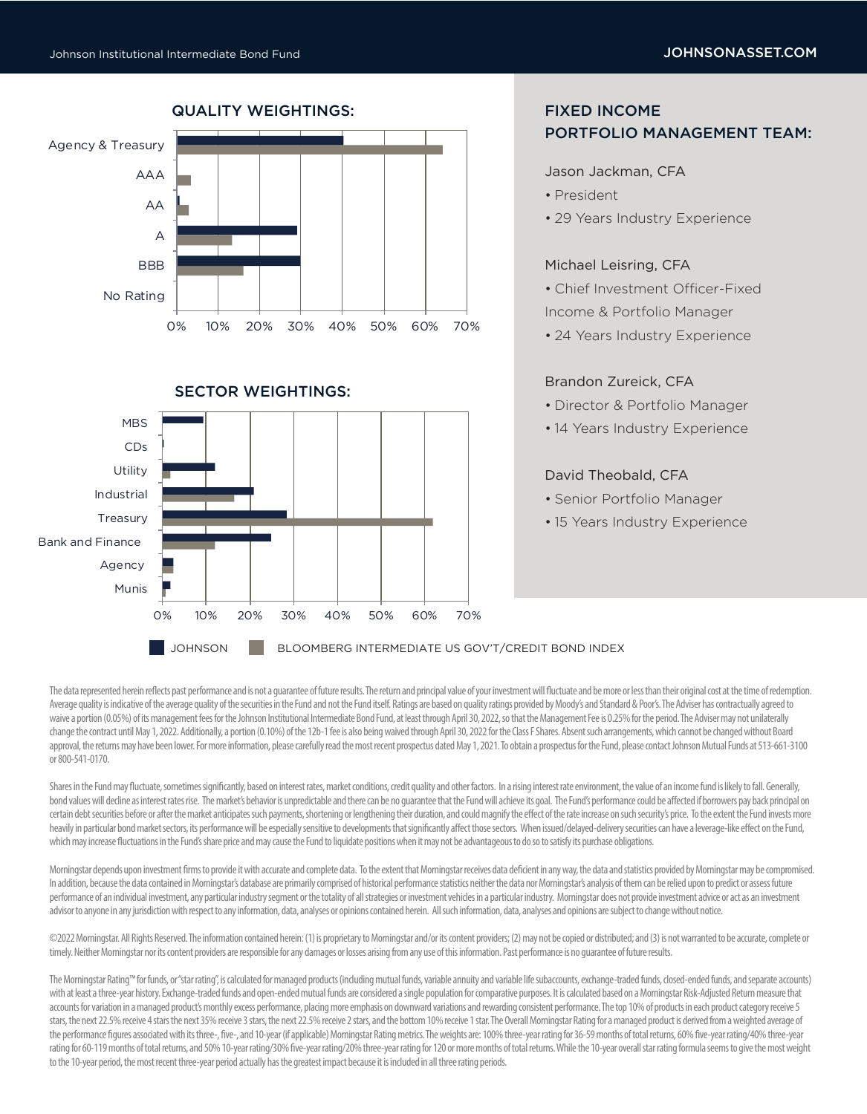Munis



# FIXED INCOME

# PORTFOLIO MANAGEMENT TEAM:

#### Jason Jackman, CFA

- President
- 29 Years Industry Experience

# Michael Leisring, CFA

- Chief Investment Officer-Fixed Income & Portfolio Manager
- 24 Years Industry Experience

## Brandon Zureick, CFA

- Director & Portfolio Manager
- 14 Years Industry Experience

## David Theobald, CFA

- Senior Portfolio Manager
- 15 Years Industry Experience

JOHNSON BLOOMBERG INTERMEDIATE US GOV'T/CREDIT BOND INDEX

0% 10% 20% 30% 40% 50% 60% 70%

The data represented herein reflects past performance and is not a quarantee of future results. The return and principal value of your investment will fluctuate and be more or less than their original cost at the time of r Average quality is indicative of the average quality of the securities in the Fund and not the Fund itself. Ratings are based on quality ratings provided by Moody's and Standard & Poor's. The Adviser has contractually agre waive a portion (0.05%) of its management fees for the Johnson Institutional Intermediate Bond Fund, at least through April 30, 2022, so that the Management Fee is 0.25% for the period. The Adviser may not unilaterally change the contract until May 1, 2022. Additionally, a portion (0.10%) of the 12b-1 fee is also being waived through April 30, 2022 for the Class F Shares. Absent such arrangements, which cannot be changed without Board approval, the returns may have been lower. For more information, please carefully read the most recent prospectus dated May 1, 2021. To obtain a prospectus for the Fund, please contact Johnson Mutual Funds at 513-661-3100 or 800-541-0170.

Shares in the Fund may fluctuate, sometimes significantly, based on interest rates, market conditions, credit quality and other factors. In a rising interest rate environment, the value of an income fund is likely to fall. bond values will dedine as interest rates rise. The market's behavior is unpredictable and there can be no guarantee that the Fund will achieve its goal. The Fund's performance could be affected if borrowers pay back princ certain debt securities before or after the market anticipates such payments, shortening or lengthening their duration, and could magnify the effect of the rate increase on such security's price. To the extent the Fund inv heavily in particular bond market sectors, its performance will be especially sensitive to developments that significantly affect those sectors. When issued/delayed-delivery securities can have a leverage-like effect on th which may increase fluctuations in the Fund's share price and may cause the Fund to liquidate positions when it may not be advantageous to do so to satisfy its purchase obligations.

Morningstar depends upon investment firms to provide it with accurate and complete data. To the extent that Morningstar receives data deficient in any way, the data and statistics provided by Morningstar may be compromised In addition, because the data contained in Morningstar's database are primarily comprised of historical performance statistics neither the data nor Morningstar's analysis of them can be relied upon to predict or assess fut performance of an individual investment, any particular industry segment or the totality of all strategies or investment vehicles in a particular industry. Morningstar does not provide investment advice or act as an invest advisor to anyone in any jurisdiction with respect to any information, data, analyses or opinions contained herein. All such information, data, analyses and opinions are subject to change without notice.

©2022 Morningstar. All Rights Reserved. The information contained herein: (1) is proprietary to Morningstar and/or its content providers; (2) may not be copied or distributed; and (3) is not warranted to be accurate, compl timely. Neither Morningstar nor its content providers are responsible for any damages or losses arising from any use of this information. Past performance is no guarantee of future results.

The Morningstar Rating™ for funds, or "star rating", is calculated for managed products (including mutual funds, variable annuity and variable life subaccounts, exchange-traded funds, dosed-ended funds, and separate accoun with at least a three-year history. Exchange-traded funds and open-ended mutual funds are considered a single population for comparative purposes. It is calculated based on a Morningstar Risk-Adjusted Return measure that accounts for variation in a managed product's monthly excess performance, placing more emphasis on downward variations and rewarding consistent performance. The top 10% of products in each product category receive 5 stars, the next 22.5% receive 4 stars the next 35% receive 3 stars, the next 22.5% receive 2 stars, and the bottom 10% receive 1 star. The Overall Morningstar Rating for a managed product is derived from a weighted average the performance figures associated with its three-, five-, and 10-year (if applicable) Morningstar Rating metrics. The weights are: 100% three-year rating for 36-59 months of total returns, 60% five-year rating/40% three-y rating for 60-119 months of total returns, and 50% 10-year rating/30% five-year rating/20% three-year rating for 120 or more months of total returns. While the 10-year overall star rating formula seems to give the most wei to the 10-year period, the most recent three-year period actually has the greatest impact because it is included in all three rating periods.

# QUALITY WEIGHTINGS: